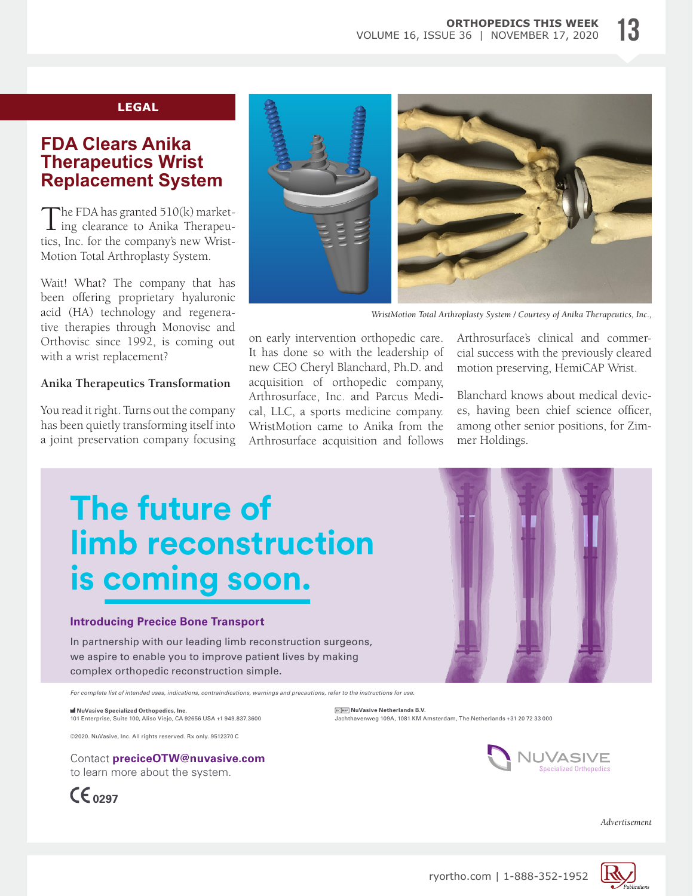### **LEGAL**

## **FDA Clears Anika Therapeutics Wrist Replacement System**

 $\mathbf{T}$ he FDA has granted 510(k) market- $\perp$  ing clearance to Anika Therapeutics, Inc. for the company's new Wrist-Motion Total Arthroplasty System.

Wait! What? The company that has been offering proprietary hyaluronic acid (HA) technology and regenerative therapies through Monovisc and Orthovisc since 1992, is coming out with a wrist replacement?

### **Anika Therapeutics Transformation**

You read it right. Turns out the company has been quietly transforming itself into a joint preservation company focusing



*WristMotion Total Arthroplasty System / Courtesy of Anika Therapeutics, Inc.,*

on early intervention orthopedic care. It has done so with the leadership of new CEO Cheryl Blanchard, Ph.D. and acquisition of orthopedic company, Arthrosurface, Inc. and Parcus Medical, LLC, a sports medicine company. WristMotion came to Anika from the Arthrosurface acquisition and follows Arthrosurface's clinical and commercial success with the previously cleared motion preserving, HemiCAP Wrist.

Blanchard knows about medical devices, having been chief science officer, among other senior positions, for Zimmer Holdings.

# **The future of [limb reconstruction](https://mailchi.mp/e4a2429bfd49/subscribe-to-nuvasive-specialized-orthopedics)  is coming soon.**

#### **Introducing Precice Bone Transport**

In partnership with our leading limb reconstruction surgeons, we aspire to enable you to improve patient lives by making complex orthopedic reconstruction simple.

*For complete list of intended uses, indications, contraindications, warnings and precautions, refer to the instructions for use.*

 **NuVasive Specialized Orthopedics, Inc.**  101 Enterprise, Suite 100, Aliso Viejo, CA 92656 USA +1 949.837.3600

©2020. NuVasive, Inc. All rights reserved. Rx only. 9512370 C

Contact **preciceOTW@nuvasive.com** to learn more about the system.







*Advertisement*